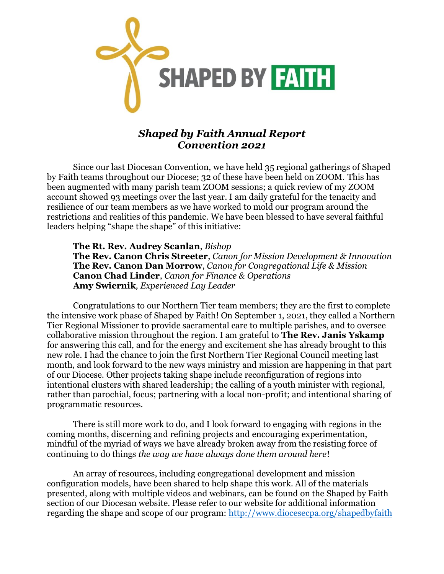

## *Shaped by Faith Annual Report Convention 2021*

Since our last Diocesan Convention, we have held 35 regional gatherings of Shaped by Faith teams throughout our Diocese; 32 of these have been held on ZOOM. This has been augmented with many parish team ZOOM sessions; a quick review of my ZOOM account showed 93 meetings over the last year. I am daily grateful for the tenacity and resilience of our team members as we have worked to mold our program around the restrictions and realities of this pandemic. We have been blessed to have several faithful leaders helping "shape the shape" of this initiative:

**The Rt. Rev. Audrey Scanlan**, *Bishop* **The Rev. Canon Chris Streeter**, *Canon for Mission Development & Innovation* **The Rev. Canon Dan Morrow**, *Canon for Congregational Life & Mission* **Canon Chad Linder**, *Canon for Finance & Operations* **Amy Swiernik***, Experienced Lay Leader*

Congratulations to our Northern Tier team members; they are the first to complete the intensive work phase of Shaped by Faith! On September 1, 2021, they called a Northern Tier Regional Missioner to provide sacramental care to multiple parishes, and to oversee collaborative mission throughout the region. I am grateful to **The Rev. Janis Yskamp** for answering this call, and for the energy and excitement she has already brought to this new role. I had the chance to join the first Northern Tier Regional Council meeting last month, and look forward to the new ways ministry and mission are happening in that part of our Diocese. Other projects taking shape include reconfiguration of regions into intentional clusters with shared leadership; the calling of a youth minister with regional, rather than parochial, focus; partnering with a local non-profit; and intentional sharing of programmatic resources.

There is still more work to do, and I look forward to engaging with regions in the coming months, discerning and refining projects and encouraging experimentation, mindful of the myriad of ways we have already broken away from the resisting force of continuing to do things *the way we have always done them around here*!

An array of resources, including congregational development and mission configuration models, have been shared to help shape this work. All of the materials presented, along with multiple videos and webinars, can be found on the Shaped by Faith section of our Diocesan website. Please refer to our website for additional information regarding the shape and scope of our program:<http://www.diocesecpa.org/shapedbyfaith>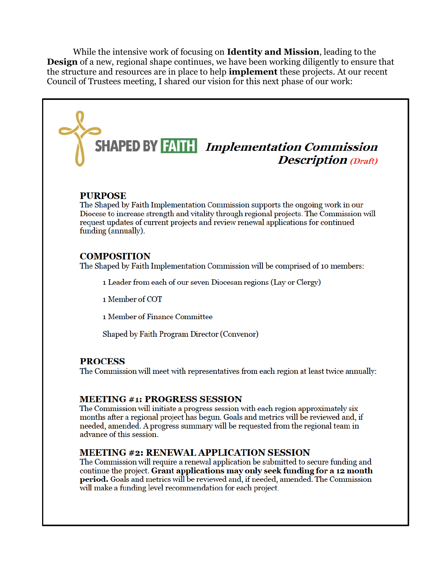While the intensive work of focusing on **Identity and Mission**, leading to the **Design** of a new, regional shape continues, we have been working diligently to ensure that the structure and resources are in place to help **implement** these projects. At our recent Council of Trustees meeting, I shared our vision for this next phase of our work:

# **SHAPED BY FAITH** Implementation Commission **Description** (Draft)

### **PURPOSE**

The Shaped by Faith Implementation Commission supports the ongoing work in our Diocese to increase strength and vitality through regional projects. The Commission will request updates of current projects and review renewal applications for continued funding (annually).

#### **COMPOSITION**

The Shaped by Faith Implementation Commission will be comprised of 10 members:

1 Leader from each of our seven Diocesan regions (Lay or Clergy)

1 Member of COT

1 Member of Finance Committee

Shaped by Faith Program Director (Convenor)

#### **PROCESS**

The Commission will meet with representatives from each region at least twice annually:

#### **MEETING #1: PROGRESS SESSION**

The Commission will initiate a progress session with each region approximately six months after a regional project has begun. Goals and metrics will be reviewed and, if needed, amended. A progress summary will be requested from the regional team in advance of this session.

#### **MEETING #2: RENEWAL APPLICATION SESSION**

The Commission will require a renewal application be submitted to secure funding and continue the project. Grant applications may only seek funding for a 12 month **period.** Goals and metrics will be reviewed and, if needed, amended. The Commission will make a funding level recommendation for each project.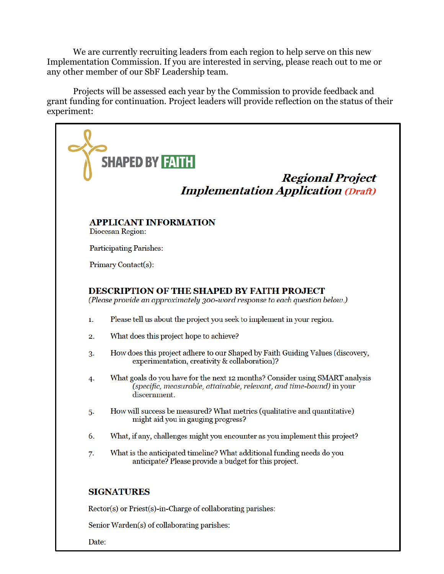We are currently recruiting leaders from each region to help serve on this new Implementation Commission. If you are interested in serving, please reach out to me or any other member of our SbF Leadership team.

Projects will be assessed each year by the Commission to provide feedback and grant funding for continuation. Project leaders will provide reflection on the status of their experiment: